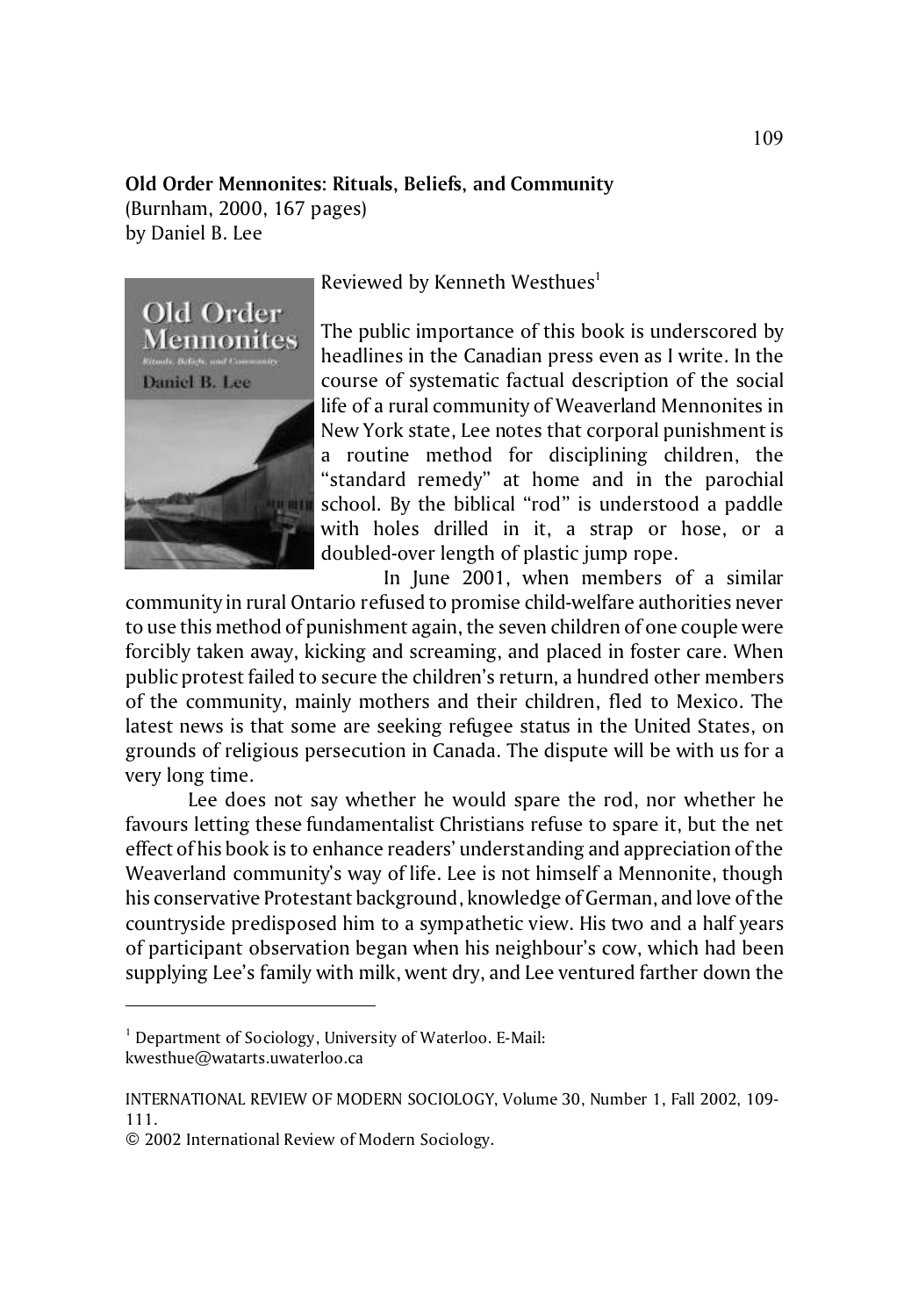## **Old Order Mennonites: Rituals, Beliefs, and Community**

(Burnham, 2000, 167 pages) by Daniel B. Lee



Reviewed by Kenneth Westhues<sup>1</sup>

The public importance of this book is underscored by headlines in the Canadian press even as I write. In the course of systematic factual description of the social life of a rural community of Weaverland Mennonites in New York state, Lee notes that corporal punishment is a routine method for disciplining children, the "standard remedy" at home and in the parochial school. By the biblical "rod" is understood a paddle with holes drilled in it, a strap or hose, or a doubled-over length of plastic jump rope.

In June 2001, when members of a similar community in rural Ontario refused to promise child-welfare authorities never to use this method of punishment again, the seven children of one couple were forcibly taken away, kicking and screaming, and placed in foster care. When public protest failed to secure the children's return, a hundred other members of the community, mainly mothers and their children, fled to Mexico. The latest news is that some are seeking refugee status in the United States, on grounds of religious persecution in Canada. The dispute will be with us for a very long time.

Lee does not say whether he would spare the rod, nor whether he favours letting these fundamentalist Christians refuse to spare it, but the net effect of his book is to enhance readers' understanding and appreciation of the Weaverland community's way of life. Lee is not himself a Mennonite, though his conservative Protestant background, knowledge of German, and love of the countryside predisposed him to a sympathetic view. His two and a half years of participant observation began when his neighbour's cow, which had been supplying Lee's family with milk, went dry, and Lee ventured farther down the

<sup>&</sup>lt;sup>1</sup> Department of Sociology, University of Waterloo. E-Mail: kwesthue@watarts.uwaterloo.ca

INTERNATIONAL REVIEW OF MODERN SOCIOLOGY, Volume 30, Number 1, Fall 2002, 109- 111.

<sup>© 2002</sup> International Review of Modern Sociology.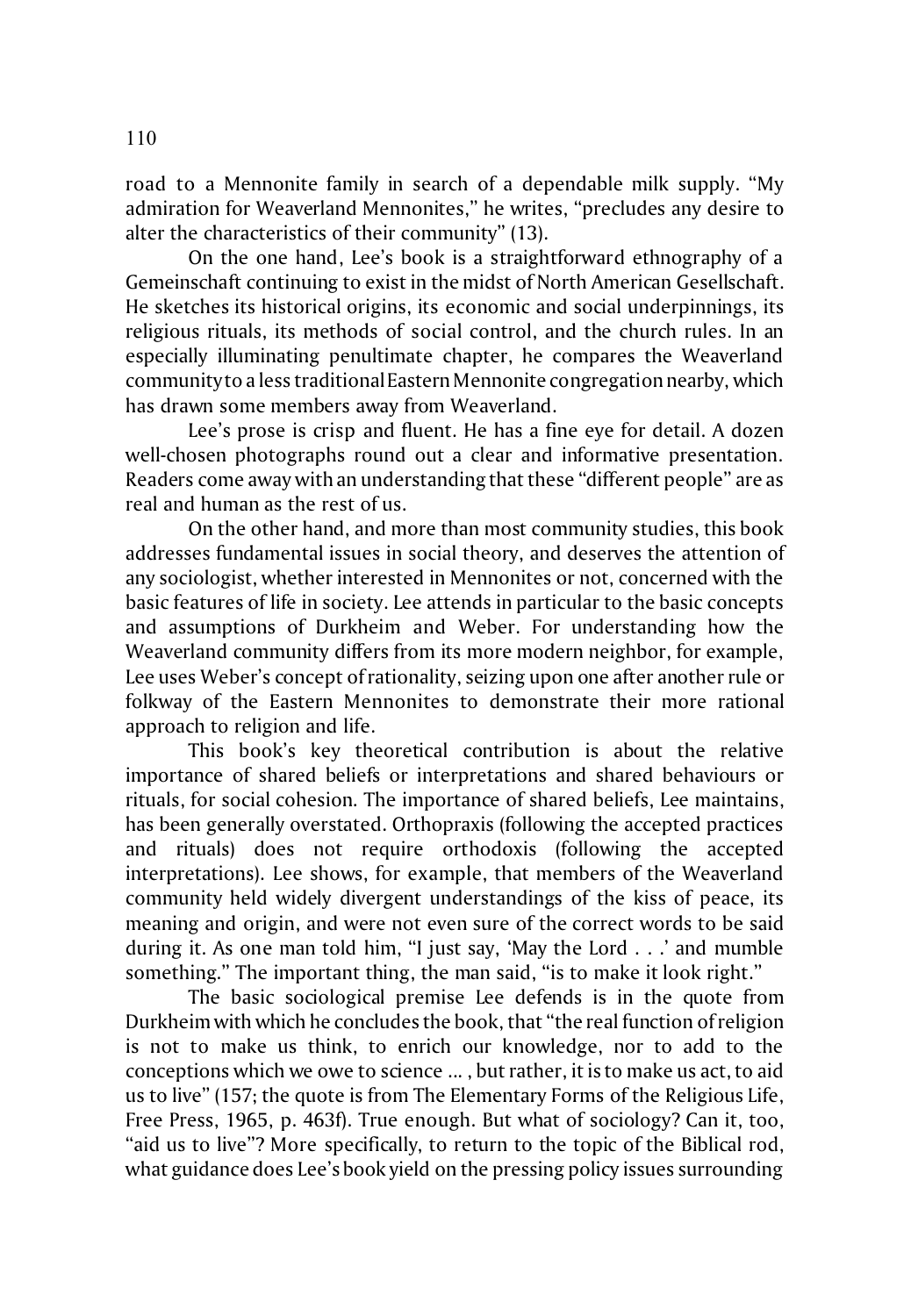road to a Mennonite family in search of a dependable milk supply. "My admiration for Weaverland Mennonites," he writes, "precludes any desire to alter the characteristics of their community" (13).

On the one hand, Lee's book is a straightforward ethnography of a Gemeinschaft continuing to exist in the midst of North American Gesellschaft. He sketches its historical origins, its economic and social underpinnings, its religious rituals, its methods of social control, and the church rules. In an especially illuminating penultimate chapter, he compares the Weaverland community to a less traditional Eastern Mennonite congregation nearby, which has drawn some members away from Weaverland.

Lee's prose is crisp and fluent. He has a fine eye for detail. A dozen well-chosen photographs round out a clear and informative presentation. Readers come away with an understanding that these "different people" are as real and human as the rest of us.

On the other hand, and more than most community studies, this book addresses fundamental issues in social theory, and deserves the attention of any sociologist, whether interested in Mennonites or not, concerned with the basic features of life in society. Lee attends in particular to the basic concepts and assumptions of Durkheim and Weber. For understanding how the Weaverland community differs from its more modern neighbor, for example, Lee uses Weber's concept of rationality, seizing upon one after another rule or folkway of the Eastern Mennonites to demonstrate their more rational approach to religion and life.

This book's key theoretical contribution is about the relative importance of shared beliefs or interpretations and shared behaviours or rituals, for social cohesion. The importance of shared beliefs, Lee maintains, has been generally overstated. Orthopraxis (following the accepted practices and rituals) does not require orthodoxis (following the accepted interpretations). Lee shows, for example, that members of the Weaverland community held widely divergent understandings of the kiss of peace, its meaning and origin, and were not even sure of the correct words to be said during it. As one man told him, "I just say, 'May the Lord . . .' and mumble something." The important thing, the man said, "is to make it look right."

The basic sociological premise Lee defends is in the quote from Durkheim with which he concludes the book, that "the real function of religion is not to make us think, to enrich our knowledge, nor to add to the conceptions which we owe to science ... , but rather, it is to make us act, to aid us to live" (157; the quote is from The Elementary Forms of the Religious Life, Free Press, 1965, p. 463f). True enough. But what of sociology? Can it, too, "aid us to live"? More specifically, to return to the topic of the Biblical rod, what guidance does Lee's book yield on the pressing policy issues surrounding